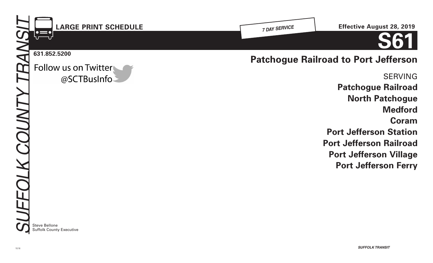

**North Patchogue**

**Port Jefferson Station**

**Port Jefferson Railroad**

**Port Jefferson Village**

**Port Jefferson Ferry**

**Medford**

**Coram**

Steve Bellone Suffolk County Executive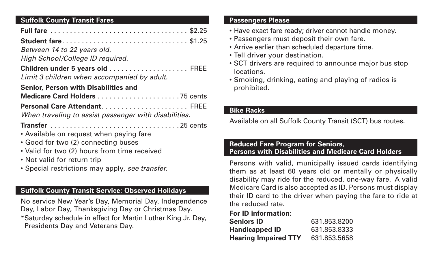# **Suffolk County Transit Fares**

| Student fare \$1.25                                                                   |  |
|---------------------------------------------------------------------------------------|--|
| Between 14 to 22 years old.                                                           |  |
| High School/College ID required.                                                      |  |
| Children under 5 years old  FREE<br>Limit 3 children when accompanied by adult.       |  |
| <b>Senior, Person with Disabilities and</b>                                           |  |
|                                                                                       |  |
| Personal Care Attendant FREE<br>When traveling to assist passenger with disabilities. |  |
| • Available on request when paying fare<br>• Good for two (2) connecting buses        |  |
| • Valid for two (2) hours from time received                                          |  |
| • Not valid for return trip                                                           |  |
| • Special restrictions may apply, see transfer.                                       |  |

# **Suffolk County Transit Service: Observed Holidays**

No service New Year's Day, Memorial Day, Independence Day, Labor Day, Thanksgiving Day or Christmas Day. \*Saturday schedule in effect for Martin Luther King Jr. Day, Presidents Day and Veterans Day.

#### **Passengers Please**

- Have exact fare ready; driver cannot handle money.
- Passengers must deposit their own fare.
- Arrive earlier than scheduled departure time.
- Tell driver your destination.
- SCT drivers are required to announce major bus stop locations.
- Smoking, drinking, eating and playing of radios is prohibited.

# **Bike Racks**

Available on all Suffolk County Transit (SCT) bus routes.

## **Reduced Fare Program for Seniors, Persons with Disabilities and Medicare Card Holders**

Persons with valid, municipally issued cards identifying them as at least 60 years old or mentally or physically disability may ride for the reduced, one-way fare. A valid Medicare Card is also accepted as ID. Persons must display their ID card to the driver when paying the fare to ride at the reduced rate.

# **For ID information:**

| <b>Seniors ID</b>           | 631.853.8200 |
|-----------------------------|--------------|
| <b>Handicapped ID</b>       | 631.853.8333 |
| <b>Hearing Impaired TTY</b> | 631.853.5658 |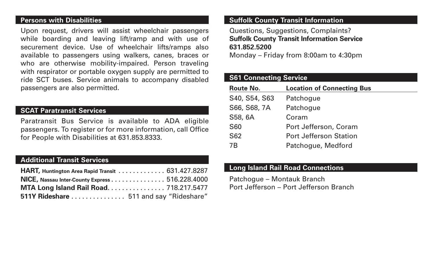#### **Persons with Disabilities**

Upon request, drivers will assist wheelchair passengers while boarding and leaving lift/ramp and with use of securement device. Use of wheelchair lifts/ramps also available to passengers using walkers, canes, braces or who are otherwise mobility-impaired. Person traveling with respirator or portable oxygen supply are permitted to ride SCT buses. Service animals to accompany disabled passengers are also permitted.

## **SCAT Paratransit Services**

Paratransit Bus Service is available to ADA eligible passengers. To register or for more information, call Office for People with Disabilities at 631.853.8333.

## **Additional Transit Services**

| HART, Huntington Area Rapid Transit 631.427.8287 |  |
|--------------------------------------------------|--|
| NICE, Nassau Inter-County Express 516.228.4000   |  |
| MTA Long Island Rail Road 718.217.5477           |  |
| 511Y Rideshare  511 and say "Rideshare"          |  |

#### **Suffolk County Transit Information**

Questions, Suggestions, Complaints? **Suffolk County Transit Information Service 631.852.5200**

Monday – Friday from 8:00am to 4:30pm

## **S61 Connecting Service**

| <b>Route No.</b> | <b>Location of Connecting Bus</b> |
|------------------|-----------------------------------|
| S40, S54, S63    | Patchogue                         |
| S66, S68, 7A     | Patchogue                         |
| S58, 6A          | Coram                             |
| <b>S60</b>       | Port Jefferson, Coram             |
| <b>S62</b>       | <b>Port Jefferson Station</b>     |
| 7B               | Patchogue, Medford                |

#### **Long Island Rail Road Connections**

Patchogue – Montauk Branch Port Jefferson – Port Jefferson Branch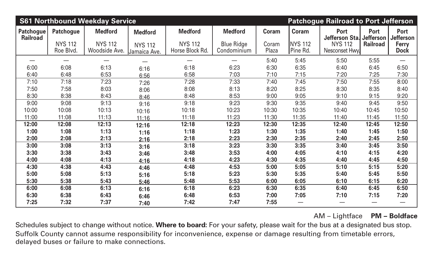|                                     | <b>S61 Northbound Weekday Service</b><br><b>Patchogue Railroad to Port Jefferson</b> |                                 |                                |                                   |                                  |                |                             |                                         |                 |                                 |
|-------------------------------------|--------------------------------------------------------------------------------------|---------------------------------|--------------------------------|-----------------------------------|----------------------------------|----------------|-----------------------------|-----------------------------------------|-----------------|---------------------------------|
| <b>Patchogue</b><br><b>Railroad</b> | <b>Medford</b><br><b>Patchogue</b>                                                   |                                 | <b>Medford</b>                 | <b>Medford</b>                    | <b>Medford</b><br><b>Coram</b>   |                | Coram                       | <b>Port</b><br>Jefferson Sta. Jefferson | <b>Port</b>     | <b>Port</b><br><b>Jefferson</b> |
|                                     | <b>NYS 112</b><br>Roe Blvd.                                                          | <b>NYS 112</b><br>Woodside Ave. | <b>NYS 112</b><br>Jamaica Ave. | <b>NYS 112</b><br>Horse Block Rd. | <b>Blue Ridge</b><br>Condominium | Coram<br>Plaza | <b>INYS 112</b><br>Pine Rd. | <b>NYS 112</b><br>Nesconset Hwy.        | <b>Railroad</b> | <b>Ferry</b><br><b>Dock</b>     |
|                                     |                                                                                      |                                 |                                |                                   |                                  | 5:40           | 5:45                        | 5:50                                    | 5:55            |                                 |
| 6:00                                | 6:08                                                                                 | 6:13                            | 6:16                           | 6:18                              | 6:23                             | 6:30           | 6:35                        | 6:40                                    | 6:45            | 6:50                            |
| 6:40                                | 6:48                                                                                 | 6:53                            | 6:56                           | 6:58                              | 7:03                             | 7:10           | 7:15                        | 7:20                                    | 7:25            | 7:30                            |
| 7:10                                | 7:18                                                                                 | 7:23                            | 7:26                           | 7:28                              | 7:33                             | 7:40           | 7:45                        | 7:50                                    | 7:55            | 8:00                            |
| 7:50                                | 7:58                                                                                 | 8:03                            | 8:06                           | 8:08                              | 8:13                             | 8:20           | 8:25                        | 8:30                                    | 8:35            | 8:40                            |
| 8:30                                | 8:38                                                                                 | 8:43                            | 8:46                           | 8:48                              | 8:53                             | 9:00           | 9:05                        | 9:10                                    | 9:15            | 9:20                            |
| 9:00                                | 9:08                                                                                 | 9:13                            | 9:16                           | 9:18                              | 9:23                             | 9:30           | 9:35                        | 9:40                                    | 9:45            | 9:50                            |
| 10:00                               | 10:08                                                                                | 10:13                           | 10:16                          | 10:18                             | 10:23                            | 10:30          | 10:35                       | 10:40                                   | 10:45           | 10:50                           |
| 11:00                               | 11:08                                                                                | 11:13                           | 11:16                          | 11:18                             | 11:23                            | 11:30          | 11:35                       | 11:40                                   | 11:45           | 11:50                           |
| 12:00                               | 12:08                                                                                | 12:13                           | 12:16                          | 12:18                             | 12:23                            | 12:30          | 12:35                       | 12:40                                   | 12:45           | 12:50                           |
| 1:00                                | 1:08                                                                                 | 1:13                            | 1:16                           | 1:18                              | 1:23                             | 1:30           | 1:35                        | 1:40                                    | 1:45            | 1:50                            |
| 2:00                                | 2:08                                                                                 | 2:13                            | 2:16                           | 2:18                              | 2:23                             | 2:30           | 2:35                        | 2:40                                    | 2:45            | 2:50                            |
| 3:00                                | 3:08                                                                                 | 3:13                            | 3:16                           | 3:18                              | 3:23                             | 3:30           | 3:35                        | 3:40                                    | 3:45            | 3:50                            |
| 3:30                                | 3:38                                                                                 | 3:43                            | 3:46                           | 3:48                              | 3:53                             | 4:00           | 4:05                        | 4:10                                    | 4:15            | 4:20                            |
| 4:00                                | 4:08                                                                                 | 4:13                            | 4:16                           | 4:18                              | 4:23                             | 4:30           | 4:35                        | 4:40                                    | 4:45            | 4:50                            |
| 4:30                                | 4:38                                                                                 | 4:43                            | 4:46                           | 4:48                              | 4:53                             | 5:00           | 5:05                        | 5:10                                    | 5:15            | 5:20                            |
| 5:00                                | 5:08                                                                                 | 5:13                            | 5:16                           | 5:18                              | 5:23                             | 5:30           | 5:35                        | 5:40                                    | 5:45            | 5:50                            |
| 5:30                                | 5:38                                                                                 | 5:43                            | 5:46                           | 5:48                              | 5:53                             | 6:00           | 6:05                        | 6:10                                    | 6:15            | 6:20                            |
| 6:00                                | 6:08                                                                                 | 6:13                            | 6:16                           | 6:18                              | 6:23                             | 6:30           | 6:35                        | 6:40                                    | 6:45            | 6:50                            |
| 6:30                                | 6:38                                                                                 | 6:43                            | 6:46                           | 6:48                              | 6:53                             | 7:00           | 7:05                        | 7:10                                    | 7:15            | 7:20                            |
| 7:25                                | 7:32                                                                                 | 7:37                            | 7:40                           | 7:42                              | 7:47                             | 7:55           | —                           |                                         |                 |                                 |

Schedules subject to change without notice. **Where to board:** For your safety, please wait for the bus at a designated bus stop. Suffolk County cannot assume responsibility for inconvenience, expense or damage resulting from timetable errors, delayed buses or failure to make connections.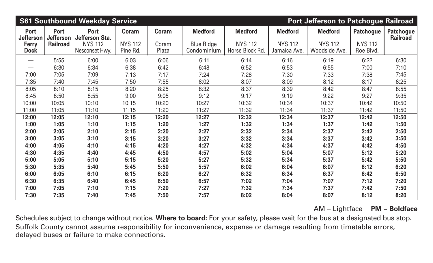| <b>S61 Southbound Weekday Service</b><br><b>Port Jefferson to Patchogue Railroad</b> |                                 |                                  |                            |                |                                  |                                   |                                |                                 |                             |                                     |
|--------------------------------------------------------------------------------------|---------------------------------|----------------------------------|----------------------------|----------------|----------------------------------|-----------------------------------|--------------------------------|---------------------------------|-----------------------------|-------------------------------------|
| <b>Port</b><br><b>Jefferson</b>                                                      | <b>Port</b><br><b>Jefferson</b> | <b>Port</b><br>Jefferson Sta.    | <b>Coram</b>               | Coram          | <b>Medford</b>                   | <b>Medford</b>                    | <b>Medford</b>                 | <b>Medford</b>                  | <b>Patchogue</b>            | <b>Patchogue</b><br><b>Railroad</b> |
| <b>Ferry</b><br><b>Dock</b>                                                          | <b>Railroad</b>                 | <b>NYS 112</b><br>Nesconset Hwy. | <b>NYS 112</b><br>Pine Rd. | Coram<br>Plaza | <b>Blue Ridge</b><br>Condominium | <b>NYS 112</b><br>Horse Block Rd. | <b>NYS 112</b><br>Jamaica Ave. | <b>NYS 112</b><br>Woodside Ave. | <b>NYS 112</b><br>Roe Blvd. |                                     |
|                                                                                      | 5:55                            | 6:00                             | 6:03                       | 6:06           | 6:11                             | 6:14                              | 6:16                           | 6:19                            | 6:22                        | 6:30                                |
|                                                                                      | 6:30                            | 6:34                             | 6:38                       | 6:42           | 6:48                             | 6:52                              | 6:53                           | 6:55                            | 7:00                        | 7:10                                |
| 7:00                                                                                 | 7:05                            | 7:09                             | 7:13                       | 7:17           | 7:24                             | 7:28                              | 7:30                           | 7:33                            | 7:38                        | 7:45                                |
| 7:35                                                                                 | 7:40                            | 7:45                             | 7:50                       | 7:55           | 8:02                             | 8:07                              | 8:09                           | 8:12                            | 8:17                        | 8:25                                |
| 8:05                                                                                 | 8:10                            | 8:15                             | 8:20                       | 8:25           | 8:32                             | 8:37                              | 8:39                           | 8:42                            | 8:47                        | 8:55                                |
| 8:45                                                                                 | 8:50                            | 8:55                             | 9:00                       | 9:05           | 9:12                             | 9:17                              | 9:19                           | 9:22                            | 9:27                        | 9:35                                |
| 10:00                                                                                | 10:05                           | 10:10                            | 10:15                      | 10:20          | 10:27                            | 10:32                             | 10:34                          | 10:37                           | 10:42                       | 10:50                               |
| 11:00                                                                                | 11:05                           | 11:10                            | 11:15                      | 11:20          | 11:27                            | 11:32                             | 11:34                          | 11:37                           | 11:42                       | 11:50                               |
| 12:00                                                                                | 12:05                           | 12:10                            | 12:15                      | 12:20          | 12:27                            | 12:32                             | 12:34                          | 12:37                           | 12:42                       | 12:50                               |
| 1:00                                                                                 | 1:05                            | 1:10                             | 1:15                       | 1:20           | 1:27                             | 1:32                              | 1:34                           | 1:37                            | 1:42                        | 1:50                                |
| 2:00                                                                                 | 2:05                            | 2:10                             | 2:15                       | 2:20           | 2:27                             | 2:32                              | 2:34                           | 2:37                            | 2:42                        | 2:50                                |
| 3:00                                                                                 | 3:05                            | 3:10                             | 3:15                       | 3:20           | 3:27                             | 3:32                              | 3:34                           | 3:37                            | 3:42                        | 3:50                                |
| 4:00                                                                                 | 4:05                            | 4:10                             | 4:15                       | 4:20           | 4:27                             | 4:32                              | 4:34                           | 4:37                            | 4:42                        | 4:50                                |
| 4:30                                                                                 | 4:35                            | 4:40                             | 4:45                       | 4:50           | 4:57                             | 5:02                              | 5:04                           | 5:07                            | 5:12                        | 5:20                                |
| 5:00                                                                                 | 5:05                            | 5:10                             | 5:15                       | 5:20           | 5:27                             | 5:32                              | 5:34                           | 5:37                            | 5:42                        | 5:50                                |
| 5:30                                                                                 | 5:35                            | 5:40                             | 5:45                       | 5:50           | 5:57                             | 6:02                              | 6:04                           | 6:07                            | 6:12                        | 6:20                                |
| 6:00                                                                                 | 6:05                            | 6:10                             | 6:15                       | 6:20           | 6:27                             | 6:32                              | 6:34                           | 6:37                            | 6:42                        | 6:50                                |
| 6:30                                                                                 | 6:35                            | 6:40                             | 6:45                       | 6:50           | 6:57                             | 7:02                              | 7:04                           | 7:07                            | 7:12                        | 7:20                                |
| 7:00                                                                                 | 7:05                            | 7:10                             | 7:15                       | 7:20           | 7:27                             | 7:32                              | 7:34                           | 7:37                            | 7:42                        | 7:50                                |
| 7:30                                                                                 | 7:35                            | 7:40                             | 7:45                       | 7:50           | 7:57                             | 8:02                              | 8:04                           | 8:07                            | 8:12                        | 8:20                                |

Schedules subject to change without notice. **Where to board:** For your safety, please wait for the bus at a designated bus stop. Suffolk County cannot assume responsibility for inconvenience, expense or damage resulting from timetable errors, delayed buses or failure to make connections.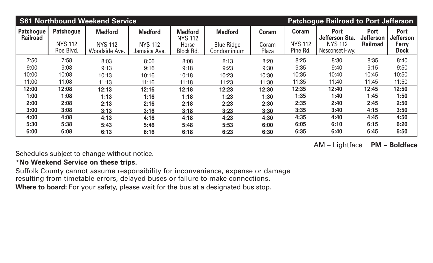|                                     |                             | <b>S61 Northbound Weekend Service</b> | <b>Patchogue Railroad to Port Jefferson</b> |                                           |                                     |                |                                |                                                 |                                                    |                                                 |
|-------------------------------------|-----------------------------|---------------------------------------|---------------------------------------------|-------------------------------------------|-------------------------------------|----------------|--------------------------------|-------------------------------------------------|----------------------------------------------------|-------------------------------------------------|
| <b>Patchogue</b><br><b>Railroad</b> | Patchogue<br><b>NYS 112</b> | <b>Medford</b><br><b>NYS 112</b>      | <b>Medford</b><br><b>NYS 112</b>            | <b>Medford</b><br><b>NYS 112</b><br>Horse | <b>Medford</b><br><b>Blue Ridge</b> | Coram<br>Coram | <b>Coram</b><br><b>NYS 112</b> | <b>Port</b><br>Jefferson Sta.<br><b>NYS 112</b> | <b>Port</b><br><b>Jefferson</b><br><b>Railroad</b> | <b>Port</b><br><b>Jefferson</b><br><b>Ferry</b> |
|                                     | Roe Blvd.                   | Woodside Ave.                         | Jamaica Ave.                                | Block Rd.                                 | Condominium                         | Plaza          | Pine Rd.                       | Nesconset Hwy.                                  |                                                    | <b>Dock</b>                                     |
| 7:50                                | 7:58                        | 8:03                                  | 8:06                                        | 8:08                                      | 8:13                                | 8:20           | 8:25                           | 8:30                                            | 8:35                                               | 8:40                                            |
| 9:00                                | 9:08                        | 9:13                                  | 9:16                                        | 9:18                                      | 9:23                                | 9:30           | 9:35                           | 9:40                                            | 9:15                                               | 9:50                                            |
| 10:00                               | 10:08                       | 10:13                                 | 10:16                                       | 10:18                                     | 10:23                               | 10:30          | 10:35                          | 10:40                                           | 10:45                                              | 10:50                                           |
| 11:00                               | 11:08                       | 11:13                                 | 11:16                                       | 11:18                                     | 11:23                               | 11:30          | 11:35                          | 11:40                                           | 11:45                                              | 11:50                                           |
| 12:00                               | 12:08                       | 12:13                                 | 12:16                                       | 12:18                                     | 12:23                               | 12:30          | 12:35                          | 12:40                                           | 12:45                                              | 12:50                                           |
| 1:00                                | 1:08                        | 1:13                                  | 1:16                                        | 1:18                                      | 1:23                                | 1:30           | 1:35                           | 1:40                                            | 1:45                                               | 1:50                                            |
| 2:00                                | 2:08                        | 2:13                                  | 2:16                                        | 2:18                                      | 2:23                                | 2:30           | 2:35                           | 2:40                                            | 2:45                                               | 2:50                                            |
| 3:00                                | 3:08                        | 3:13                                  | 3:16                                        | 3:18                                      | 3:23                                | 3:30           | 3:35                           | 3:40                                            | 4:15                                               | 3:50                                            |
| 4:00                                | 4:08                        | 4:13                                  | 4:16                                        | 4:18                                      | 4:23                                | 4:30           | 4:35                           | 4:40                                            | 4:45                                               | 4:50                                            |
| 5:30                                | 5:38                        | 5:43                                  | 5:46                                        | 5:48                                      | 5:53                                | 6:00           | 6:05                           | 6:10                                            | 6:15                                               | 6:20                                            |
| 6:00                                | 6:08                        | 6:13                                  | 6:16                                        | 6:18                                      | 6:23                                | 6:30           | 6:35                           | 6:40                                            | 6:45                                               | 6:50                                            |

Schedules subject to change without notice.

# **\*No Weekend Service on these trips.**

Suffolk County cannot assume responsibility for inconvenience, expense or damage resulting from timetable errors, delayed buses or failure to make connections. Where to board: For your safety, please wait for the bus at a designated bus stop.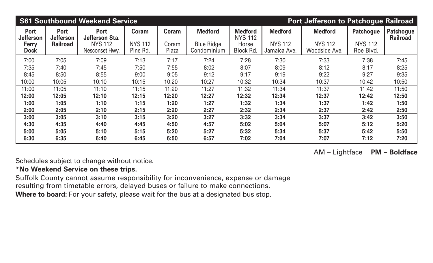|                                                 |                                                    | <b>S61 Southbound Weekend Service</b>           |                                |                |                                     |                                           | <b>Port Jefferson to Patchogue Railroad</b> |                                  |                             |                              |
|-------------------------------------------------|----------------------------------------------------|-------------------------------------------------|--------------------------------|----------------|-------------------------------------|-------------------------------------------|---------------------------------------------|----------------------------------|-----------------------------|------------------------------|
| <b>Port</b><br><b>Jefferson</b><br><b>Ferry</b> | <b>Port</b><br><b>Jefferson</b><br><b>Railroad</b> | <b>Port</b><br>Jefferson Sta.<br><b>NYS 112</b> | <b>Coram</b><br><b>NYS 112</b> | Coram<br>Coram | <b>Medford</b><br><b>Blue Ridge</b> | <b>Medford</b><br><b>NYS 112</b><br>Horse | <b>Medford</b><br><b>NYS 112</b>            | <b>Medford</b><br><b>NYS 112</b> | Patchogue<br><b>NYS 112</b> | Patchogue<br><b>Railroad</b> |
| <b>Dock</b>                                     |                                                    | Nesconset Hwy.                                  | Pine Rd.                       | Plaza          | Condominium                         | <b>Block Rd.</b>                          | Jamaica Ave.                                | Woodside Ave.                    | Roe Blvd.                   |                              |
| 7:00                                            | 7:05                                               | 7:09                                            | 7:13                           | 7:17           | 7:24                                | 7:28                                      | 7:30                                        | 7:33                             | 7:38                        | 7:45                         |
| 7:35                                            | 7:40                                               | 7:45                                            | 7:50                           | 7:55           | 8:02                                | 8:07                                      | 8:09                                        | 8:12                             | 8:17                        | 8:25                         |
| 8:45                                            | 8:50                                               | 8:55                                            | 9:00                           | 9:05           | 9:12                                | 9:17                                      | 9:19                                        | 9:22                             | 9:27                        | 9:35                         |
| 10:00                                           | 10:05                                              | 10:10                                           | 10:15                          | 10:20          | 10:27                               | 10:32                                     | 10:34                                       | 10:37                            | 10:42                       | 10:50                        |
| 11:00                                           | 11:05                                              | 11:10                                           | 11:15                          | 11:20          | 11:27                               | 11:32                                     | 11:34                                       | 11:37                            | 11:42                       | 11:50                        |
| 12:00                                           | 12:05                                              | 12:10                                           | 12:15                          | 12:20          | 12:27                               | 12:32                                     | 12:34                                       | 12:37                            | 12:42                       | 12:50                        |
| 1:00                                            | 1:05                                               | 1:10                                            | 1:15                           | 1:20           | 1:27                                | 1:32                                      | 1:34                                        | 1:37                             | 1:42                        | 1:50                         |
| 2:00                                            | 2:05                                               | 2:10                                            | 2:15                           | 2:20           | 2:27                                | 2:32                                      | 2:34                                        | 2:37                             | 2:42                        | 2:50                         |
| 3:00                                            | 3:05                                               | 3:10                                            | 3:15                           | 3:20           | 3:27                                | 3:32                                      | 3:34                                        | 3:37                             | 3:42                        | 3:50                         |
| 4:30                                            | 4:35                                               | 4:40                                            | 4:45                           | 4:50           | 4:57                                | 5:02                                      | 5:04                                        | 5:07                             | 5:12                        | 5:20                         |
| 5:00                                            | 5:05                                               | 5:10                                            | 5:15                           | 5:20           | 5:27                                | 5:32                                      | 5:34                                        | 5:37                             | 5:42                        | 5:50                         |
| 6:30                                            | 6:35                                               | 6:40                                            | 6:45                           | 6:50           | 6:57                                | 7:02                                      | 7:04                                        | 7:07                             | 7:12                        | 7:20                         |

Schedules subject to change without notice.

## **\*No Weekend Service on these trips.**

Suffolk County cannot assume responsibility for inconvenience, expense or damage resulting from timetable errors, delayed buses or failure to make connections. Where to board: For your safety, please wait for the bus at a designated bus stop.